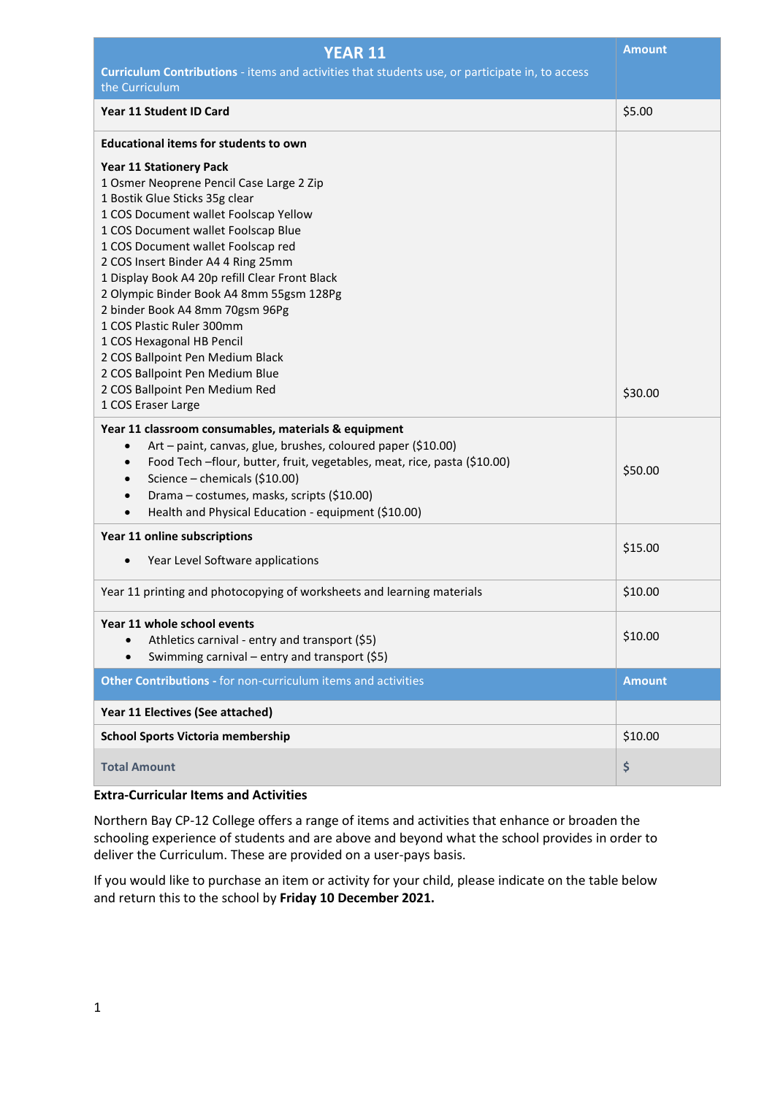| <b>YEAR 11</b>                                                                                  | <b>Amount</b> |  |  |
|-------------------------------------------------------------------------------------------------|---------------|--|--|
| Curriculum Contributions - items and activities that students use, or participate in, to access |               |  |  |
| the Curriculum                                                                                  |               |  |  |
| Year 11 Student ID Card                                                                         | \$5.00        |  |  |
| <b>Educational items for students to own</b>                                                    |               |  |  |
| <b>Year 11 Stationery Pack</b>                                                                  |               |  |  |
| 1 Osmer Neoprene Pencil Case Large 2 Zip                                                        |               |  |  |
| 1 Bostik Glue Sticks 35g clear                                                                  |               |  |  |
| 1 COS Document wallet Foolscap Yellow                                                           |               |  |  |
| 1 COS Document wallet Foolscap Blue                                                             |               |  |  |
| 1 COS Document wallet Foolscap red                                                              |               |  |  |
| 2 COS Insert Binder A4 4 Ring 25mm                                                              |               |  |  |
| 1 Display Book A4 20p refill Clear Front Black                                                  |               |  |  |
| 2 Olympic Binder Book A4 8mm 55gsm 128Pg                                                        |               |  |  |
| 2 binder Book A4 8mm 70gsm 96Pg<br>1 COS Plastic Ruler 300mm                                    |               |  |  |
| 1 COS Hexagonal HB Pencil                                                                       |               |  |  |
| 2 COS Ballpoint Pen Medium Black                                                                |               |  |  |
| 2 COS Ballpoint Pen Medium Blue                                                                 |               |  |  |
| 2 COS Ballpoint Pen Medium Red                                                                  | \$30.00       |  |  |
| 1 COS Eraser Large                                                                              |               |  |  |
| Year 11 classroom consumables, materials & equipment                                            |               |  |  |
| Art - paint, canvas, glue, brushes, coloured paper (\$10.00)<br>$\bullet$                       |               |  |  |
| Food Tech -flour, butter, fruit, vegetables, meat, rice, pasta (\$10.00)<br>$\bullet$           |               |  |  |
| Science - chemicals (\$10.00)<br>$\bullet$                                                      | \$50.00       |  |  |
| Drama - costumes, masks, scripts (\$10.00)<br>$\bullet$                                         |               |  |  |
| Health and Physical Education - equipment (\$10.00)<br>$\bullet$                                |               |  |  |
|                                                                                                 |               |  |  |
| Year 11 online subscriptions                                                                    | \$15.00       |  |  |
| Year Level Software applications<br>$\bullet$                                                   |               |  |  |
| Year 11 printing and photocopying of worksheets and learning materials                          | \$10.00       |  |  |
| Year 11 whole school events                                                                     |               |  |  |
| Athletics carnival - entry and transport (\$5)                                                  | \$10.00       |  |  |
| Swimming carnival – entry and transport (\$5)<br>$\bullet$                                      |               |  |  |
| Other Contributions - for non-curriculum items and activities                                   | <b>Amount</b> |  |  |
| Year 11 Electives (See attached)                                                                |               |  |  |
| <b>School Sports Victoria membership</b>                                                        | \$10.00       |  |  |
| <b>Total Amount</b>                                                                             | \$            |  |  |
|                                                                                                 |               |  |  |

## **Extra-Curricular Items and Activities**

Northern Bay CP-12 College offers a range of items and activities that enhance or broaden the schooling experience of students and are above and beyond what the school provides in order to deliver the Curriculum. These are provided on a user-pays basis.

If you would like to purchase an item or activity for your child, please indicate on the table below and return this to the school by **Friday 10 December 2021.**